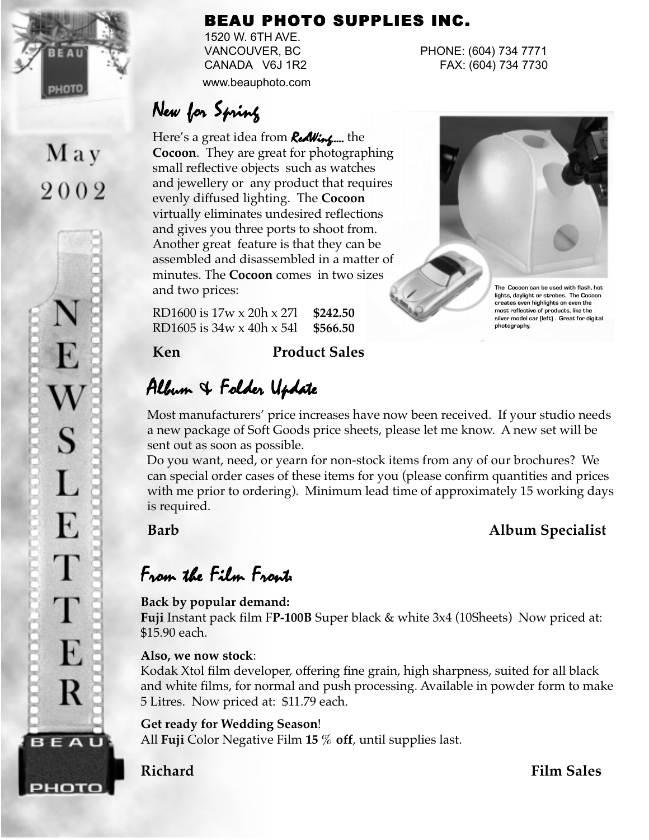

May

2002

E

W

S

L

E

T

T

E

R

**BEAU** 

рното

#### BEAU PHOTO SUPPLIES INC.

1520 W. 6TH AVE. www.beauphoto.com

VANCOUVER, BC PHONE: (604) 734 7771 CANADA V6J 1R2 FAX: (604) 734 7730

# New for Spring

Here's a great idea from **RedWing....** the **Cocoon**. They are great for photographing small reflective objects such as watches and jewellery or any product that requires evenly diffused lighting. The **Cocoon** virtually eliminates undesired reflections and gives you three ports to shoot from. Another great feature is that they can be assembled and disassembled in a matter of minutes. The **Cocoon** comes in two sizes and two prices:

RD1600 is 17w x 20h x 27l **\$242.50** RD1605 is 34w x 40h x 54l **\$566.50**

#### **Ken Product Sales**

# Album & Folder Update

Most manufacturers' price increases have now been received. If your studio needs a new package of Soft Goods price sheets, please let me know. A new set will be sent out as soon as possible.

Do you want, need, or yearn for non-stock items from any of our brochures? We can special order cases of these items for you (please confirm quantities and prices with me prior to ordering). Minimum lead time of approximately 15 working days is required.

### **Barb Album Specialist**

# From the Film Front:

#### **Back by popular demand:**

**Fuji** Instant pack film F**P-100B** Super black & white 3x4 (10Sheets) Now priced at: \$15.90 each.

#### **Also, we now stock**:

Kodak Xtol film developer, offering fine grain, high sharpness, suited for all black and white films, for normal and push processing. Available in powder form to make 5 Litres. Now priced at: \$11.79 each.

#### **Get ready for Wedding Season**!

All **Fuji** Color Negative Film **15 % off**, until supplies last.

**Richard Film Sales** 



**most reflective of products, like the silver model car (left) . Great for digital photography.**